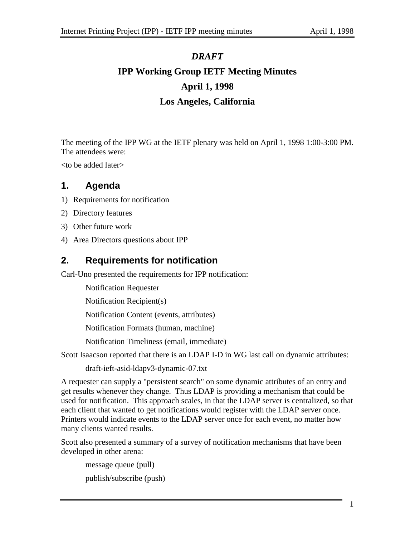# *DRAFT* **IPP Working Group IETF Meeting Minutes April 1, 1998 Los Angeles, California**

The meeting of the IPP WG at the IETF plenary was held on April 1, 1998 1:00-3:00 PM. The attendees were:

<to be added later>

# **1. Agenda**

- 1) Requirements for notification
- 2) Directory features
- 3) Other future work
- 4) Area Directors questions about IPP

# **2. Requirements for notification**

Carl-Uno presented the requirements for IPP notification:

Notification Requester

Notification Recipient(s)

Notification Content (events, attributes)

Notification Formats (human, machine)

Notification Timeliness (email, immediate)

Scott Isaacson reported that there is an LDAP I-D in WG last call on dynamic attributes:

draft-ieft-asid-ldapv3-dynamic-07.txt

A requester can supply a "persistent search" on some dynamic attributes of an entry and get results whenever they change. Thus LDAP is providing a mechanism that could be used for notification. This approach scales, in that the LDAP server is centralized, so that each client that wanted to get notifications would register with the LDAP server once. Printers would indicate events to the LDAP server once for each event, no matter how many clients wanted results.

Scott also presented a summary of a survey of notification mechanisms that have been developed in other arena:

message queue (pull) publish/subscribe (push)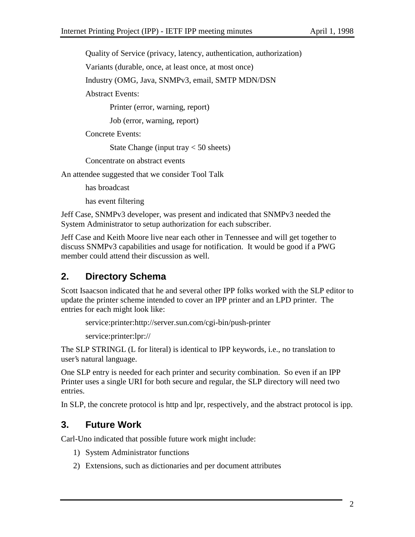Quality of Service (privacy, latency, authentication, authorization)

Variants (durable, once, at least once, at most once)

Industry (OMG, Java, SNMPv3, email, SMTP MDN/DSN

Abstract Events:

Printer (error, warning, report)

Job (error, warning, report)

Concrete Events:

State Change (input tray  $< 50$  sheets)

Concentrate on abstract events

An attendee suggested that we consider Tool Talk

has broadcast

has event filtering

Jeff Case, SNMPv3 developer, was present and indicated that SNMPv3 needed the System Administrator to setup authorization for each subscriber.

Jeff Case and Keith Moore live near each other in Tennessee and will get together to discuss SNMPv3 capabilities and usage for notification. It would be good if a PWG member could attend their discussion as well.

# **2. Directory Schema**

Scott Isaacson indicated that he and several other IPP folks worked with the SLP editor to update the printer scheme intended to cover an IPP printer and an LPD printer. The entries for each might look like:

service:printer:http://server.sun.com/cgi-bin/push-printer

service:printer:lpr://

The SLP STRINGL (L for literal) is identical to IPP keywords, i.e., no translation to user's natural language.

One SLP entry is needed for each printer and security combination. So even if an IPP Printer uses a single URI for both secure and regular, the SLP directory will need two entries.

In SLP, the concrete protocol is http and lpr, respectively, and the abstract protocol is ipp.

### **3. Future Work**

Carl-Uno indicated that possible future work might include:

- 1) System Administrator functions
- 2) Extensions, such as dictionaries and per document attributes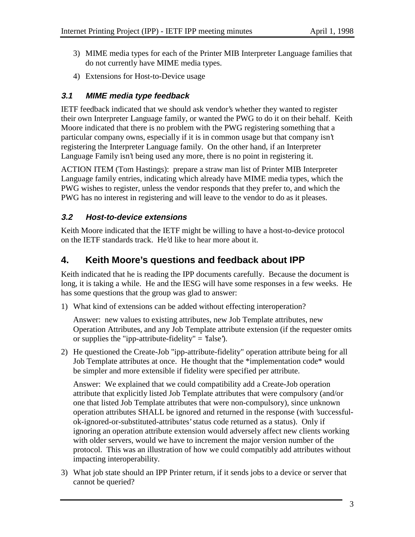- 3) MIME media types for each of the Printer MIB Interpreter Language families that do not currently have MIME media types.
- 4) Extensions for Host-to-Device usage

#### **3.1 MIME media type feedback**

IETF feedback indicated that we should ask vendor's whether they wanted to register their own Interpreter Language family, or wanted the PWG to do it on their behalf. Keith Moore indicated that there is no problem with the PWG registering something that a particular company owns, especially if it is in common usage but that company isn't registering the Interpreter Language family. On the other hand, if an Interpreter Language Family isn't being used any more, there is no point in registering it.

ACTION ITEM (Tom Hastings): prepare a straw man list of Printer MIB Interpreter Language family entries, indicating which already have MIME media types, which the PWG wishes to register, unless the vendor responds that they prefer to, and which the PWG has no interest in registering and will leave to the vendor to do as it pleases.

#### **3.2 Host-to-device extensions**

Keith Moore indicated that the IETF might be willing to have a host-to-device protocol on the IETF standards track. He'd like to hear more about it.

## **4. Keith Moore's questions and feedback about IPP**

Keith indicated that he is reading the IPP documents carefully. Because the document is long, it is taking a while. He and the IESG will have some responses in a few weeks. He has some questions that the group was glad to answer:

1) What kind of extensions can be added without effecting interoperation?

Answer: new values to existing attributes, new Job Template attributes, new Operation Attributes, and any Job Template attribute extension (if the requester omits or supplies the "ipp-attribute-fidelity"  $=$  'false').

2) He questioned the Create-Job "ipp-attribute-fidelity" operation attribute being for all Job Template attributes at once. He thought that the \*implementation code\* would be simpler and more extensible if fidelity were specified per attribute.

Answer: We explained that we could compatibility add a Create-Job operation attribute that explicitly listed Job Template attributes that were compulsory (and/or one that listed Job Template attributes that were non-compulsory), since unknown operation attributes SHALL be ignored and returned in the response (with 'successfulok-ignored-or-substituted-attributes' status code returned as a status). Only if ignoring an operation attribute extension would adversely affect new clients working with older servers, would we have to increment the major version number of the protocol. This was an illustration of how we could compatibly add attributes without impacting interoperability.

3) What job state should an IPP Printer return, if it sends jobs to a device or server that cannot be queried?